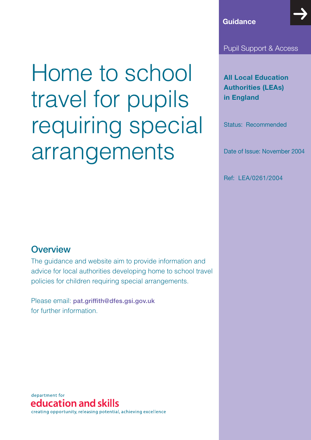#### Pupil Support & Access

**All Local Education Authorities (LEAs) in England**

Status: Recommended

Date of Issue: November 2004

Ref: LEA/0261/2004

# Home to school travel for pupils requiring special arrangements

### **Overview**

The guidance and website aim to provide information and advice for local authorities developing home to school travel policies for children requiring special arrangements.

Please email: **pat.griffith@dfes.gsi.gov.uk** for further information.

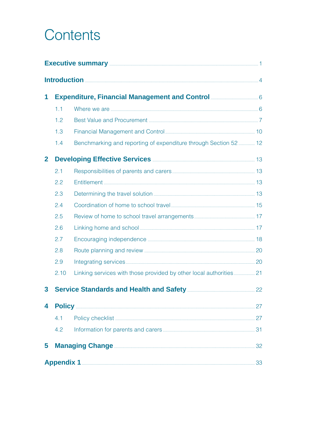# Contents

| Executive summary <b>Executive</b> summary <b>All and Structure Contract 2018</b> |      |                                                                                                                                                                                                                                      |  |
|-----------------------------------------------------------------------------------|------|--------------------------------------------------------------------------------------------------------------------------------------------------------------------------------------------------------------------------------------|--|
|                                                                                   |      |                                                                                                                                                                                                                                      |  |
| 1                                                                                 |      | <b>Expenditure, Financial Management and Control manually and System Control Control Control Control Control Control Control Control Control Control Control Control Control Control Control Control Control Control Control Con</b> |  |
|                                                                                   | 1.1  |                                                                                                                                                                                                                                      |  |
|                                                                                   | 1.2  |                                                                                                                                                                                                                                      |  |
|                                                                                   | 1.3  |                                                                                                                                                                                                                                      |  |
|                                                                                   | 1.4  | Benchmarking and reporting of expenditure through Section 52  12                                                                                                                                                                     |  |
| $\overline{2}$                                                                    |      |                                                                                                                                                                                                                                      |  |
|                                                                                   | 2.1  |                                                                                                                                                                                                                                      |  |
|                                                                                   | 2.2  |                                                                                                                                                                                                                                      |  |
|                                                                                   | 2.3  |                                                                                                                                                                                                                                      |  |
|                                                                                   | 2.4  |                                                                                                                                                                                                                                      |  |
|                                                                                   | 2.5  |                                                                                                                                                                                                                                      |  |
|                                                                                   | 2.6  |                                                                                                                                                                                                                                      |  |
|                                                                                   | 2.7  |                                                                                                                                                                                                                                      |  |
|                                                                                   | 2.8  |                                                                                                                                                                                                                                      |  |
|                                                                                   | 2.9  |                                                                                                                                                                                                                                      |  |
|                                                                                   | 2.10 |                                                                                                                                                                                                                                      |  |
| 3                                                                                 |      | Service Standards and Health and Safety <b>Manual Accord 22</b> 22                                                                                                                                                                   |  |
| 4                                                                                 |      |                                                                                                                                                                                                                                      |  |
|                                                                                   | 4.1  |                                                                                                                                                                                                                                      |  |
|                                                                                   | 4.2  |                                                                                                                                                                                                                                      |  |
| 5                                                                                 |      | <b>Managing Change <u>Communications</u></b> (32                                                                                                                                                                                     |  |
|                                                                                   |      |                                                                                                                                                                                                                                      |  |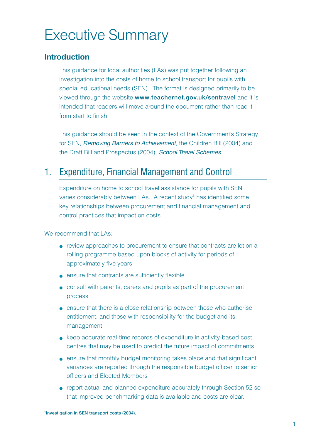# Executive Summary

#### **Introduction**

This guidance for local authorities (LAs) was put together following an investigation into the costs of home to school transport for pupils with special educational needs (SEN). The format is designed primarily to be viewed through the website **www.teachernet.gov.uk/sentravel** and it is intended that readers will move around the document rather than read it from start to finish.

This guidance should be seen in the context of the Government's Strategy for SEN, Removing Barriers to Achievement, the Children Bill (2004) and the Draft Bill and Prospectus (2004), School Travel Schemes.

### 1. Expenditure, Financial Management and Control

Expenditure on home to school travel assistance for pupils with SEN varies considerably between LAs. A recent study**<sup>1</sup>** has identified some key relationships between procurement and financial management and control practices that impact on costs.

We recommend that LAs:

- review approaches to procurement to ensure that contracts are let on a rolling programme based upon blocks of activity for periods of approximately five years
- ensure that contracts are sufficiently flexible
- consult with parents, carers and pupils as part of the procurement process
- ensure that there is a close relationship between those who authorise entitlement, and those with responsibility for the budget and its management
- keep accurate real-time records of expenditure in activity-based cost centres that may be used to predict the future impact of commitments
- ensure that monthly budget monitoring takes place and that significant variances are reported through the responsible budget officer to senior officers and Elected Members
- report actual and planned expenditure accurately through Section 52 so that improved benchmarking data is available and costs are clear.

**1Investigation in SEN transport costs (2004).**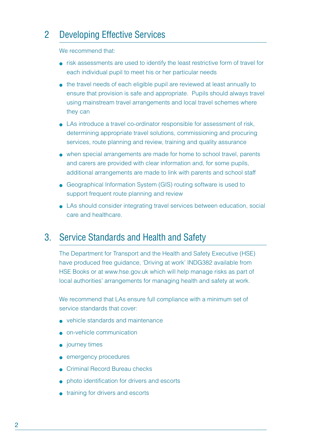### 2 Developing Effective Services

We recommend that:

- risk assessments are used to identify the least restrictive form of travel for each individual pupil to meet his or her particular needs
- the travel needs of each eligible pupil are reviewed at least annually to ensure that provision is safe and appropriate. Pupils should always travel using mainstream travel arrangements and local travel schemes where they can
- LAs introduce a travel co-ordinator responsible for assessment of risk, determining appropriate travel solutions, commissioning and procuring services, route planning and review, training and quality assurance
- when special arrangements are made for home to school travel, parents and carers are provided with clear information and, for some pupils, additional arrangements are made to link with parents and school staff
- Geographical Information System (GIS) routing software is used to support frequent route planning and review
- LAs should consider integrating travel services between education, social care and healthcare.

### 3. Service Standards and Health and Safety

The Department for Transport and the Health and Safety Executive (HSE) have produced free guidance, 'Driving at work' INDG382 available from HSE Books or at www.hse.gov.uk which will help manage risks as part of local authorities' arrangements for managing health and safety at work.

We recommend that LAs ensure full compliance with a minimum set of service standards that cover:

- vehicle standards and maintenance
- on-vehicle communication
- journey times
- emergency procedures
- Criminal Record Bureau checks
- photo identification for drivers and escorts
- training for drivers and escorts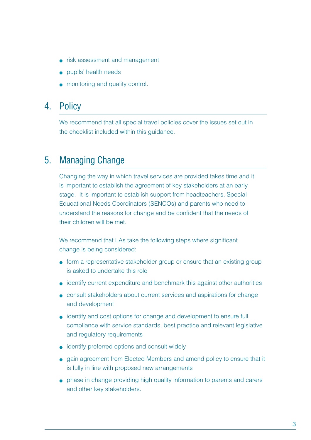- risk assessment and management
- pupils' health needs
- monitoring and quality control.

### 4. Policy

We recommend that all special travel policies cover the issues set out in the checklist included within this guidance.

### 5. Managing Change

Changing the way in which travel services are provided takes time and it is important to establish the agreement of key stakeholders at an early stage. It is important to establish support from headteachers, Special Educational Needs Coordinators (SENCOs) and parents who need to understand the reasons for change and be confident that the needs of their children will be met.

We recommend that LAs take the following steps where significant change is being considered:

- form a representative stakeholder group or ensure that an existing group is asked to undertake this role
- identify current expenditure and benchmark this against other authorities
- consult stakeholders about current services and aspirations for change and development
- identify and cost options for change and development to ensure full compliance with service standards, best practice and relevant legislative and regulatory requirements
- identify preferred options and consult widely
- gain agreement from Elected Members and amend policy to ensure that it is fully in line with proposed new arrangements
- phase in change providing high quality information to parents and carers and other key stakeholders.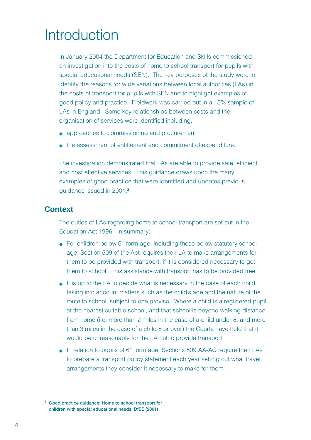# **Introduction**

In January 2004 the Department for Education and Skills commissioned an investigation into the costs of home to school transport for pupils with special educational needs (SEN). The key purposes of the study were to identify the reasons for wide variations between local authorities (LAs) in the costs of transport for pupils with SEN and to highlight examples of good policy and practice. Fieldwork was carried out in a 15% sample of LAs in England. Some key relationships between costs and the organisation of services were identified including:

- approaches to commissioning and procurement
- the assessment of entitlement and commitment of expenditure.

The investigation demonstrated that LAs are able to provide safe, efficient and cost effective services. This guidance draws upon the many examples of good practice that were identified and updates previous guidance issued in 2001.**<sup>2</sup>**

#### **Context**

The duties of LAs regarding home to school transport are set out in the Education Act 1996. In summary:

- $\bullet$  For children below  $6<sup>th</sup>$  form age, including those below statutory school age, Section 509 of the Act requires their LA to make arrangements for them to be provided with transport, if it is considered necessary to get them to school. This assistance with transport has to be provided free.
- It is up to the LA to decide what is necessary in the case of each child, taking into account matters such as the child's age and the nature of the route to school, subject to one proviso. Where a child is a registered pupil at the nearest suitable school, and that school is beyond walking distance from home (i.e. more than 2 miles in the case of a child under 8, and more than 3 miles in the case of a child 8 or over) the Courts have held that it would be unreasonable for the LA not to provide transport.
- In relation to pupils of 6<sup>th</sup> form age, Sections 509 AA-AC require their LAs to prepare a transport policy statement each year setting out what travel arrangements they consider it necessary to make for them.

**<sup>2</sup> Good practice guidance: Home to school transport for children with special educational needs, DfEE (2001)**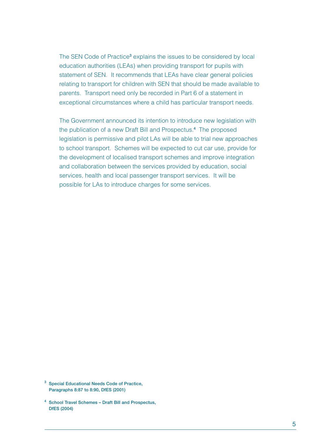The SEN Code of Practice<sup>3</sup> explains the issues to be considered by local education authorities (LEAs) when providing transport for pupils with statement of SEN. It recommends that LEAs have clear general policies relating to transport for children with SEN that should be made available to parents. Transport need only be recorded in Part 6 of a statement in exceptional circumstances where a child has particular transport needs.

The Government announced its intention to introduce new legislation with the publication of a new Draft Bill and Prospectus.**<sup>4</sup>** The proposed legislation is permissive and pilot LAs will be able to trial new approaches to school transport. Schemes will be expected to cut car use, provide for the development of localised transport schemes and improve integration and collaboration between the services provided by education, social services, health and local passenger transport services. It will be possible for LAs to introduce charges for some services.

- **<sup>3</sup> Special Educational Needs Code of Practice, Paragraphs 8:87 to 8:90, DfES (2001)**
- **<sup>4</sup> School Travel Schemes Draft Bill and Prospectus, DfES (2004)**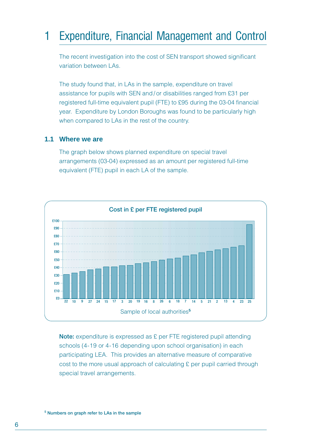# 1 Expenditure, Financial Management and Control

The recent investigation into the cost of SEN transport showed significant variation between LAs.

The study found that, in LAs in the sample, expenditure on travel assistance for pupils with SEN and/ or disabilities ranged from £31 per registered full-time equivalent pupil (FTE) to £95 during the 03-04 financial year. Expenditure by London Boroughs was found to be particularly high when compared to LAs in the rest of the country.

#### **1.1 Where we are**

The graph below shows planned expenditure on special travel arrangements (03-04) expressed as an amount per registered full-time equivalent (FTE) pupil in each LA of the sample.



**Note:** expenditure is expressed as £ per FTE registered pupil attending schools (4-19 or 4-16 depending upon school organisation) in each participating LEA. This provides an alternative measure of comparative cost to the more usual approach of calculating £ per pupil carried through special travel arrangements.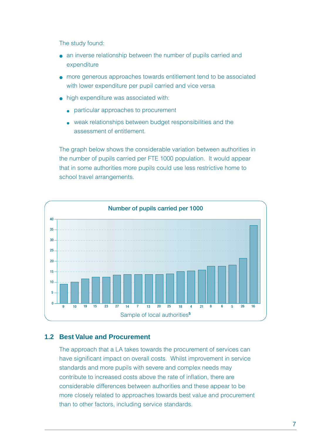The study found:

- an inverse relationship between the number of pupils carried and expenditure
- more generous approaches towards entitlement tend to be associated with lower expenditure per pupil carried and vice versa
- high expenditure was associated with:
	- particular approaches to procurement
	- weak relationships between budget responsibilities and the assessment of entitlement.

The graph below shows the considerable variation between authorities in the number of pupils carried per FTE 1000 population. It would appear that in some authorities more pupils could use less restrictive home to school travel arrangements.



#### **1.2 Best Value and Procurement**

The approach that a LA takes towards the procurement of services can have significant impact on overall costs. Whilst improvement in service standards and more pupils with severe and complex needs may contribute to increased costs above the rate of inflation, there are considerable differences between authorities and these appear to be more closely related to approaches towards best value and procurement than to other factors, including service standards.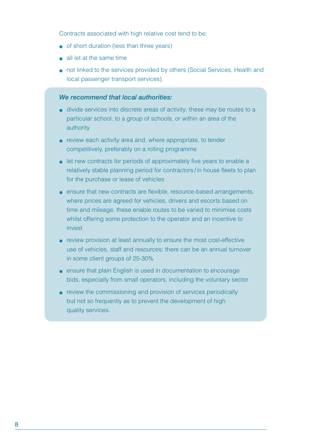Contracts associated with high relative cost tend to be:

- of short duration (less than three years)
- all let at the same time
- not linked to the services provided by others (Social Services, Health and local passenger transport services).

#### *We recommend that local authorities:*

- divide services into discrete areas of activity; these may be routes to a particular school, to a group of schools, or within an area of the authority
- review each activity area and, where appropriate, to tender competitively, preferably on a rolling programme
- let new contracts for periods of approximately five years to enable a relatively stable planning period for contractors / in house fleets to plan for the purchase or lease of vehicles
- ensure that new contracts are flexible, resource-based arrangements, where prices are agreed for vehicles, drivers and escorts based on time and mileage; these enable routes to be varied to minimise costs whilst offering some protection to the operator and an incentive to invest
- review provision at least annually to ensure the most cost-effective use of vehicles, staff and resources; there can be an annual turnover in some client groups of 25-30%
- ensure that plain English is used in documentation to encourage bids, especially from small operators, including the voluntary sector
- review the commissioning and provision of services periodically but not so frequently as to prevent the development of high quality services.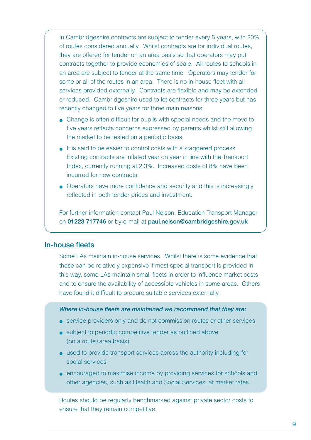In Cambridgeshire contracts are subject to tender every 5 years, with 20% of routes considered annually. Whilst contracts are for individual routes, they are offered for tender on an area basis so that operators may put contracts together to provide economies of scale. All routes to schools in an area are subject to tender at the same time. Operators may tender for some or all of the routes in an area. There is no in-house fleet with all services provided externally. Contracts are flexible and may be extended or reduced. Cambridgeshire used to let contracts for three years but has recently changed to five years for three main reasons:

- Change is often difficult for pupils with special needs and the move to five years reflects concerns expressed by parents whilst still allowing the market to be tested on a periodic basis.
- It is said to be easier to control costs with a staggered process. Existing contracts are inflated year on year in line with the Transport Index, currently running at 2.3%. Increased costs of 8% have been incurred for new contracts.
- Operators have more confidence and security and this is increasingly reflected in both tender prices and investment.

For further information contact Paul Nelson, Education Transport Manager on **01223 717746** or by e-mail at **paul.nelson@cambridgeshire.gov.uk**

#### **In-house fleets**

Some LAs maintain in-house services. Whilst there is some evidence that these can be relatively expensive if most special transport is provided in this way, some LAs maintain small fleets in order to influence market costs and to ensure the availability of accessible vehicles in some areas. Others have found it difficult to procure suitable services externally.

#### *Where in-house fleets are maintained we recommend that they are:*

- service providers only and do not commission routes or other services
- subject to periodic competitive tender as outlined above (on a route / area basis)
- used to provide transport services across the authority including for social services
- encouraged to maximise income by providing services for schools and other agencies, such as Health and Social Services, at market rates.

Routes should be regularly benchmarked against private sector costs to ensure that they remain competitive.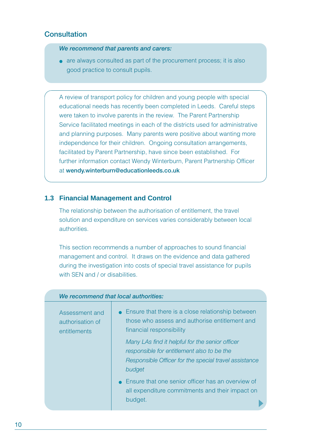#### **Consultation**

*We recommend that parents and carers:*

• are always consulted as part of the procurement process; it is also good practice to consult pupils.

A review of transport policy for children and young people with special educational needs has recently been completed in Leeds. Careful steps were taken to involve parents in the review. The Parent Partnership Service facilitated meetings in each of the districts used for administrative and planning purposes. Many parents were positive about wanting more independence for their children. Ongoing consultation arrangements, facilitated by Parent Partnership, have since been established. For further information contact Wendy Winterburn, Parent Partnership Officer at **wendy.winterburn@educationleeds.co.uk**

#### **1.3 Financial Management and Control**

The relationship between the authorisation of entitlement, the travel solution and expenditure on services varies considerably between local authorities.

This section recommends a number of approaches to sound financial management and control. It draws on the evidence and data gathered during the investigation into costs of special travel assistance for pupils with SEN and / or disabilities.

| We recommend that local authorities:               |                                                                                                                                                                                                                                                                                                                                                                                                                            |
|----------------------------------------------------|----------------------------------------------------------------------------------------------------------------------------------------------------------------------------------------------------------------------------------------------------------------------------------------------------------------------------------------------------------------------------------------------------------------------------|
| Assessment and<br>authorisation of<br>entitlements | • Ensure that there is a close relationship between<br>those who assess and authorise entitlement and<br>financial responsibility<br>Many LAs find it helpful for the senior officer<br>responsible for entitlement also to be the<br>Responsible Officer for the special travel assistance<br>budget<br>• Ensure that one senior officer has an overview of<br>all expenditure commitments and their impact on<br>budget. |
|                                                    |                                                                                                                                                                                                                                                                                                                                                                                                                            |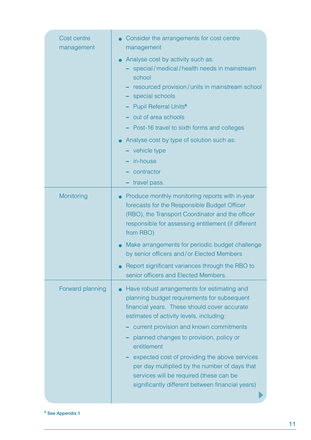| Cost centre<br>management | Consider the arrangements for cost centre<br>management                                                                                                                                                                                                                                                                                                                                                                                                                                                                              |
|---------------------------|--------------------------------------------------------------------------------------------------------------------------------------------------------------------------------------------------------------------------------------------------------------------------------------------------------------------------------------------------------------------------------------------------------------------------------------------------------------------------------------------------------------------------------------|
|                           | Analyse cost by activity such as:<br>- special/medical/health needs in mainstream<br>school<br>resourced provision/units in mainstream school<br>- special schools<br>- Pupil Referral Units <sup>6</sup><br>- out of area schools<br>- Post-16 travel to sixth forms and colleges<br>Analyse cost by type of solution such as:<br>- vehicle type<br>- in-house<br>contractor<br>- travel pass.                                                                                                                                      |
| Monitoring                | Produce monthly monitoring reports with in-year<br>forecasts for the Responsible Budget Officer<br>(RBO), the Transport Coordinator and the officer<br>responsible for assessing entitlement (if different<br>from RBO)<br>Make arrangements for periodic budget challenge<br>by senior officers and/or Elected Members<br>Report significant variances through the RBO to                                                                                                                                                           |
| Forward planning          | senior officers and Elected Members.<br>Have robust arrangements for estimating and<br>planning budget requirements for subsequent<br>financial years. These should cover accurate<br>estimates of activity levels, including:<br>current provision and known commitments<br>planned changes to provision, policy or<br>entitlement<br>expected cost of providing the above services<br>per day multiplied by the number of days that<br>services will be required (these can be<br>significantly different between financial years) |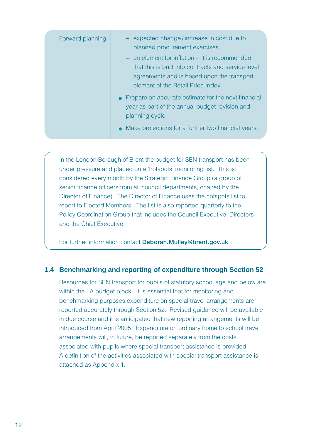| Forward planning | - expected change/increase in cost due to<br>planned procurement exercises                                                                                                               |
|------------------|------------------------------------------------------------------------------------------------------------------------------------------------------------------------------------------|
|                  | - an element for inflation - it is recommended<br>that this is built into contracts and service level<br>agreements and is based upon the transport<br>element of the Retail Price Index |
|                  | • Prepare an accurate estimate for the next financial<br>year as part of the annual budget revision and<br>planning cycle<br>• Make projections for a further two financial years.       |

In the London Borough of Brent the budget for SEN transport has been under pressure and placed on a 'hotspots' monitoring list. This is considered every month by the Strategic Finance Group (a group of senior finance officers from all council departments, chaired by the Director of Finance). The Director of Finance uses the hotspots list to report to Elected Members. The list is also reported quarterly to the Policy Coordination Group that includes the Council Executive, Directors and the Chief Executive.

For further information contact **Deborah.Mulley@brent.gov.uk**

#### **1.4 Benchmarking and reporting of expenditure through Section 52**

Resources for SEN transport for pupils of statutory school age and below are within the LA budget block. It is essential that for monitoring and benchmarking purposes expenditure on special travel arrangements are reported accurately through Section 52. Revised guidance will be available in due course and it is anticipated that new reporting arrangements will be introduced from April 2005. Expenditure on ordinary home to school travel arrangements will, in future, be reported separately from the costs associated with pupils where special transport assistance is provided. A definition of the activities associated with special transport assistance is attached as Appendix 1.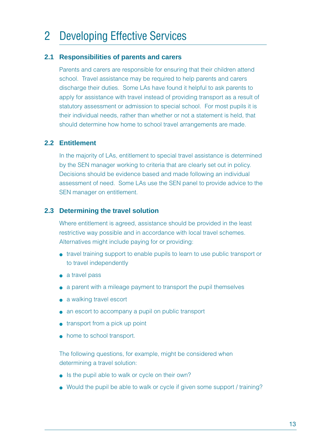# 2 Developing Effective Services

#### **2.1 Responsibilities of parents and carers**

Parents and carers are responsible for ensuring that their children attend school. Travel assistance may be required to help parents and carers discharge their duties. Some LAs have found it helpful to ask parents to apply for assistance with travel instead of providing transport as a result of statutory assessment or admission to special school. For most pupils it is their individual needs, rather than whether or not a statement is held, that should determine how home to school travel arrangements are made.

#### **2.2 Entitlement**

In the majority of LAs, entitlement to special travel assistance is determined by the SEN manager working to criteria that are clearly set out in policy. Decisions should be evidence based and made following an individual assessment of need. Some LAs use the SEN panel to provide advice to the SEN manager on entitlement.

#### **2.3 Determining the travel solution**

Where entitlement is agreed, assistance should be provided in the least restrictive way possible and in accordance with local travel schemes. Alternatives might include paying for or providing:

- travel training support to enable pupils to learn to use public transport or to travel independently
- a travel pass
- a parent with a mileage payment to transport the pupil themselves
- a walking travel escort
- an escort to accompany a pupil on public transport
- transport from a pick up point
- home to school transport.

The following questions, for example, might be considered when determining a travel solution:

- Is the pupil able to walk or cycle on their own?
- Would the pupil be able to walk or cycle if given some support / training?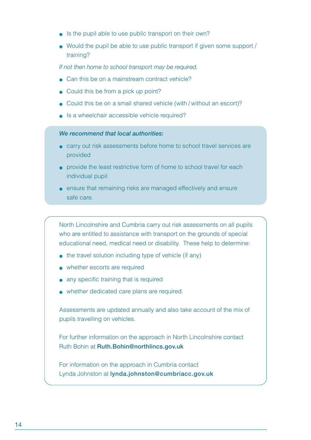- Is the pupil able to use public transport on their own?
- Would the pupil be able to use public transport if given some support / training?

*If not then home to school transport may be required.*

- Can this be on a mainstream contract vehicle?
- Could this be from a pick up point?
- Could this be on a small shared vehicle (with / without an escort)?
- Is a wheelchair accessible vehicle required?

#### *We recommend that local authorities:*

- carry out risk assessments before home to school travel services are provided
- provide the least restrictive form of home to school travel for each individual pupil
- ensure that remaining risks are managed effectively and ensure safe care.

North Lincolnshire and Cumbria carry out risk assessments on all pupils who are entitled to assistance with transport on the grounds of special educational need, medical need or disability. These help to determine:

- the travel solution including type of vehicle (if any)
- whether escorts are required
- any specific training that is required
- whether dedicated care plans are required.

Assessments are updated annually and also take account of the mix of pupils travelling on vehicles.

For further information on the approach in North Lincolnshire contact Ruth Bohin at **Ruth.Bohin@northlincs.gov.uk**

For information on the approach in Cumbria contact Lynda Johnston at **lynda.johnston@cumbriacc.gov.uk**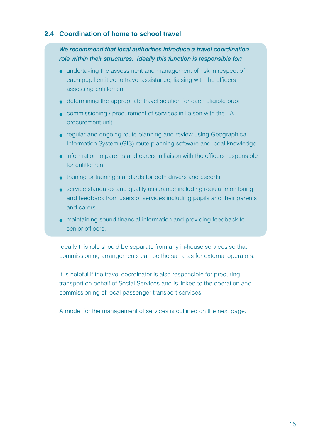#### **2.4 Coordination of home to school travel**

*We recommend that local authorities introduce a travel coordination role within their structures. Ideally this function is responsible for:*

- undertaking the assessment and management of risk in respect of each pupil entitled to travel assistance, liaising with the officers assessing entitlement
- determining the appropriate travel solution for each eligible pupil
- commissioning / procurement of services in liaison with the LA procurement unit
- regular and ongoing route planning and review using Geographical Information System (GIS) route planning software and local knowledge
- information to parents and carers in liaison with the officers responsible for entitlement
- training or training standards for both drivers and escorts
- service standards and quality assurance including regular monitoring, and feedback from users of services including pupils and their parents and carers
- maintaining sound financial information and providing feedback to senior officers.

Ideally this role should be separate from any in-house services so that commissioning arrangements can be the same as for external operators.

It is helpful if the travel coordinator is also responsible for procuring transport on behalf of Social Services and is linked to the operation and commissioning of local passenger transport services.

A model for the management of services is outlined on the next page.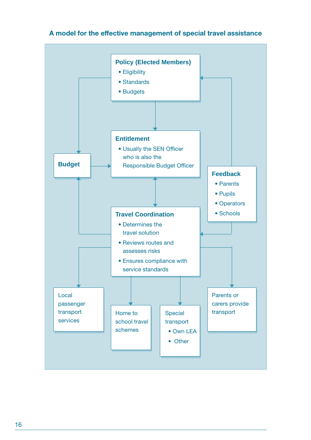

#### **A model for the effective management of special travel assistance**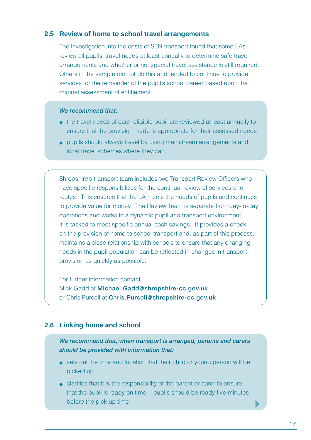#### **2.5 Review of home to school travel arrangements**

The investigation into the costs of SEN transport found that some LAs review all pupils' travel needs at least annually to determine safe travel arrangements and whether or not special travel assistance is still required. Others in the sample did not do this and tended to continue to provide services for the remainder of the pupil's school career based upon the original assessment of entitlement.

#### *We recommend that:*

- the travel needs of each eligible pupil are reviewed at least annually to ensure that the provision made is appropriate for their assessed needs
- pupils should always travel by using mainstream arrangements and local travel schemes where they can.

Shropshire's transport team includes two Transport Review Officers who have specific responsibilities for the continual review of services and routes. This ensures that the LA meets the needs of pupils and continues to provide value for money. The Review Team is separate from day-to-day operations and works in a dynamic pupil and transport environment. It is tasked to meet specific annual cash savings. It provides a check on the provision of home to school transport and, as part of this process, maintains a close relationship with schools to ensure that any changing needs in the pupil population can be reflected in changes in transport provision as quickly as possible.

For further information contact Mick Gadd at **Michael.Gadd@shropshire-cc.gov.uk** or Chris Purcell at **Chris.Purcell@shropshire-cc.gov.uk**

#### **2.6 Linking home and school**

*We recommend that, when transport is arranged, parents and carers should be provided with information that:*

- sets out the time and location that their child or young person will be picked up
- clarifies that it is the responsibility of the parent or carer to ensure that the pupil is ready on time - pupils should be ready five minutes before the pick up time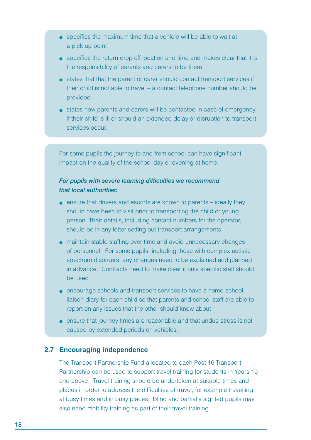- specifies the maximum time that a vehicle will be able to wait at a pick up point
- specifies the return drop off location and time and makes clear that it is the responsibility of parents and carers to be there
- states that that the parent or carer should contact transport services if their child is not able to travel – a contact telephone number should be provided
- states how parents and carers will be contacted in case of emergency, if their child is ill or should an extended delay or disruption to transport services occur.

For some pupils the journey to and from school can have significant impact on the quality of the school day or evening at home.

#### *For pupils with severe learning difficulties we recommend that local authorities:*

- $\bullet$  ensure that drivers and escorts are known to parents  $-$  ideally they should have been to visit prior to transporting the child or young person. Their details, including contact numbers for the operator, should be in any letter setting out transport arrangements
- maintain stable staffing over time and avoid unnecessary changes of personnel. For some pupils, including those with complex autistic spectrum disorders, any changes need to be explained and planned in advance. Contracts need to make clear if only specific staff should be used
- encourage schools and transport services to have a home-school liaison diary for each child so that parents and school staff are able to report on any issues that the other should know about
- ensure that journey times are reasonable and that undue stress is not caused by extended periods on vehicles.

#### **2.7 Encouraging independence**

The Transport Partnership Fund allocated to each Post 16 Transport Partnership can be used to support travel training for students in Years 10 and above. Travel training should be undertaken at suitable times and places in order to address the difficulties of travel, for example travelling at busy times and in busy places. Blind and partially sighted pupils may also need mobility training as part of their travel training.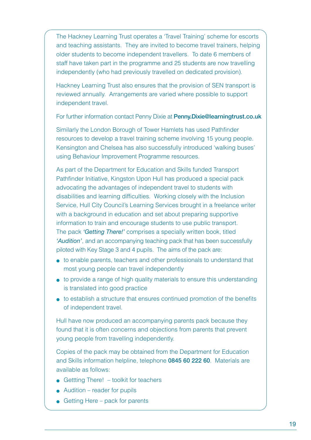The Hackney Learning Trust operates a 'Travel Training' scheme for escorts and teaching assistants. They are invited to become travel trainers, helping older students to become independent travellers. To date 6 members of staff have taken part in the programme and 25 students are now travelling independently (who had previously travelled on dedicated provision).

Hackney Learning Trust also ensures that the provision of SEN transport is reviewed annually. Arrangements are varied where possible to support independent travel.

For further information contact Penny Dixie at **Penny.Dixie@learningtrust.co.uk**

Similarly the London Borough of Tower Hamlets has used Pathfinder resources to develop a travel training scheme involving 15 young people. Kensington and Chelsea has also successfully introduced 'walking buses' using Behaviour Improvement Programme resources.

As part of the Department for Education and Skills funded Transport Pathfinder Initiative, Kingston Upon Hull has produced a special pack advocating the advantages of independent travel to students with disabilities and learning difficulties. Working closely with the Inclusion Service, Hull City Council's Learning Services brought in a freelance writer with a background in education and set about preparing supportive information to train and encourage students to use public transport. The pack *'Getting There!'* comprises a specially written book, titled *'Audition'*, and an accompanying teaching pack that has been successfully piloted with Key Stage 3 and 4 pupils. The aims of the pack are:

- to enable parents, teachers and other professionals to understand that most young people can travel independently
- to provide a range of high quality materials to ensure this understanding is translated into good practice
- to establish a structure that ensures continued promotion of the benefits of independent travel.

Hull have now produced an accompanying parents pack because they found that it is often concerns and objections from parents that prevent young people from travelling independently.

Copies of the pack may be obtained from the Department for Education and Skills information helpline, telephone **0845 60 222 60**. Materials are available as follows:

- $\bullet$  Gettting There! toolkit for teachers
- $\bullet$  Audition reader for pupils
- Getting Here pack for parents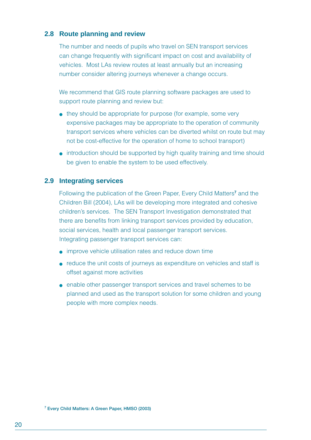#### **2.8 Route planning and review**

The number and needs of pupils who travel on SEN transport services can change frequently with significant impact on cost and availability of vehicles. Most LAs review routes at least annually but an increasing number consider altering journeys whenever a change occurs.

We recommend that GIS route planning software packages are used to support route planning and review but:

- they should be appropriate for purpose (for example, some very expensive packages may be appropriate to the operation of community transport services where vehicles can be diverted whilst on route but may not be cost-effective for the operation of home to school transport)
- introduction should be supported by high quality training and time should be given to enable the system to be used effectively.

#### **2.9 Integrating services**

Following the publication of the Green Paper, Every Child Matters**<sup>7</sup>** and the Children Bill (2004), LAs will be developing more integrated and cohesive children's services. The SEN Transport Investigation demonstrated that there are benefits from linking transport services provided by education, social services, health and local passenger transport services. Integrating passenger transport services can:

- improve vehicle utilisation rates and reduce down time
- reduce the unit costs of journeys as expenditure on vehicles and staff is offset against more activities
- enable other passenger transport services and travel schemes to be planned and used as the transport solution for some children and young people with more complex needs.

**7 Every Child Matters: A Green Paper, HMSO (2003)**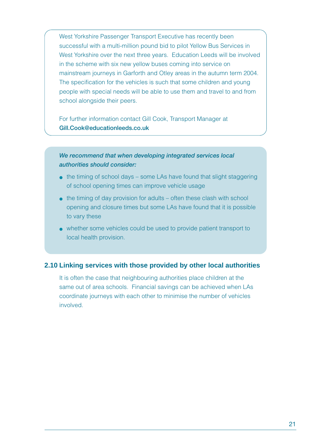West Yorkshire Passenger Transport Executive has recently been successful with a multi-million pound bid to pilot Yellow Bus Services in West Yorkshire over the next three years. Education Leeds will be involved in the scheme with six new yellow buses coming into service on mainstream journeys in Garforth and Otley areas in the autumn term 2004. The specification for the vehicles is such that some children and young people with special needs will be able to use them and travel to and from school alongside their peers.

For further information contact Gill Cook, Transport Manager at **Gill.Cook@educationleeds.co.uk**

*We recommend that when developing integrated services local authorities should consider:*

- $\bullet$  the timing of school days some LAs have found that slight staggering of school opening times can improve vehicle usage
- $\bullet$  the timing of day provision for adults often these clash with school opening and closure times but some LAs have found that it is possible to vary these
- whether some vehicles could be used to provide patient transport to local health provision.

#### **2.10 Linking services with those provided by other local authorities**

It is often the case that neighbouring authorities place children at the same out of area schools. Financial savings can be achieved when LAs coordinate journeys with each other to minimise the number of vehicles involved.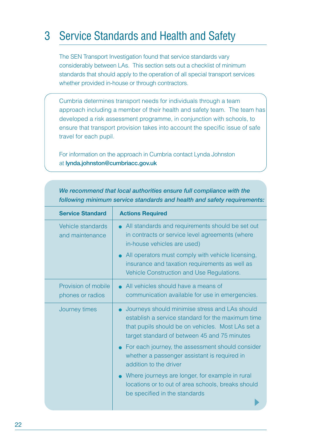## 3 Service Standards and Health and Safety

The SEN Transport Investigation found that service standards vary considerably between LAs. This section sets out a checklist of minimum standards that should apply to the operation of all special transport services whether provided in-house or through contractors.

Cumbria determines transport needs for individuals through a team approach including a member of their health and safety team. The team has developed a risk assessment programme, in conjunction with schools, to ensure that transport provision takes into account the specific issue of safe travel for each pupil.

For information on the approach in Cumbria contact Lynda Johnston at **lynda.johnston@cumbriacc.gov.uk**

| <b>Service Standard</b>                 | <b>Actions Required</b>                                                                                                                                                                                               |
|-----------------------------------------|-----------------------------------------------------------------------------------------------------------------------------------------------------------------------------------------------------------------------|
| Vehicle standards<br>and maintenance    | • All standards and requirements should be set out<br>in contracts or service level agreements (where<br>in-house vehicles are used)                                                                                  |
|                                         | • All operators must comply with vehicle licensing,<br>insurance and taxation requirements as well as<br>Vehicle Construction and Use Regulations.                                                                    |
| Provision of mobile<br>phones or radios | • All vehicles should have a means of<br>communication available for use in emergencies.                                                                                                                              |
| Journey times                           | Journeys should minimise stress and LAs should<br>$\bullet$<br>establish a service standard for the maximum time<br>that pupils should be on vehicles. Most LAs set a<br>target standard of between 45 and 75 minutes |
|                                         | • For each journey, the assessment should consider<br>whether a passenger assistant is required in<br>addition to the driver                                                                                          |
|                                         | Where journeys are longer, for example in rural<br>locations or to out of area schools, breaks should<br>be specified in the standards                                                                                |

*We recommend that local authorities ensure full compliance with the following minimum service standards and health and safety requirements:*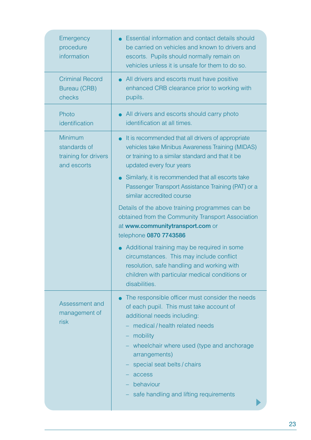| Emergency<br>procedure<br>information                          | <b>Essential information and contact details should</b><br>be carried on vehicles and known to drivers and<br>escorts. Pupils should normally remain on<br>vehicles unless it is unsafe for them to do so.                                                                                                                                  |
|----------------------------------------------------------------|---------------------------------------------------------------------------------------------------------------------------------------------------------------------------------------------------------------------------------------------------------------------------------------------------------------------------------------------|
| <b>Criminal Record</b><br><b>Bureau (CRB)</b><br>checks        | All drivers and escorts must have positive<br>$\bullet$<br>enhanced CRB clearance prior to working with<br>pupils.                                                                                                                                                                                                                          |
| Photo<br>identification                                        | All drivers and escorts should carry photo<br>identification at all times.                                                                                                                                                                                                                                                                  |
| Minimum<br>standards of<br>training for drivers<br>and escorts | • It is recommended that all drivers of appropriate<br>vehicles take Minibus Awareness Training (MIDAS)<br>or training to a similar standard and that it be<br>updated every four years                                                                                                                                                     |
|                                                                | Similarly, it is recommended that all escorts take<br>$\bullet$<br>Passenger Transport Assistance Training (PAT) or a<br>similar accredited course                                                                                                                                                                                          |
|                                                                | Details of the above training programmes can be<br>obtained from the Community Transport Association<br>at www.communitytransport.com or<br>telephone 0870 7743586                                                                                                                                                                          |
|                                                                | Additional training may be required in some<br>circumstances. This may include conflict<br>resolution, safe handling and working with<br>children with particular medical conditions or<br>disabilities.                                                                                                                                    |
| Assessment and<br>management of<br>risk                        | The responsible officer must consider the needs<br>of each pupil. This must take account of<br>additional needs including:<br>medical / health related needs<br>mobility<br>-<br>wheelchair where used (type and anchorage<br>arrangements)<br>special seat belts / chairs<br>access<br>behaviour<br>safe handling and lifting requirements |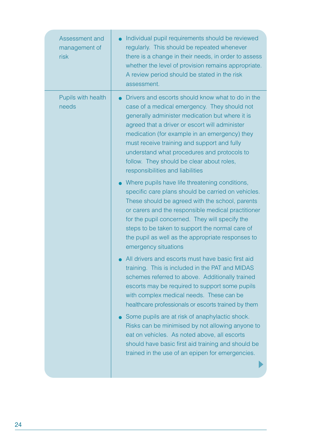| Assessment and<br>management of<br>risk | Individual pupil requirements should be reviewed<br>regularly. This should be repeated whenever<br>there is a change in their needs, in order to assess<br>whether the level of provision remains appropriate.<br>A review period should be stated in the risk<br>assessment.                                                                                                                                                          |
|-----------------------------------------|----------------------------------------------------------------------------------------------------------------------------------------------------------------------------------------------------------------------------------------------------------------------------------------------------------------------------------------------------------------------------------------------------------------------------------------|
| Pupils with health<br>needs             | Drivers and escorts should know what to do in the<br>case of a medical emergency. They should not<br>generally administer medication but where it is<br>agreed that a driver or escort will administer<br>medication (for example in an emergency) they<br>must receive training and support and fully<br>understand what procedures and protocols to<br>follow. They should be clear about roles,<br>responsibilities and liabilities |
|                                         | Where pupils have life threatening conditions,<br>$\bullet$<br>specific care plans should be carried on vehicles.<br>These should be agreed with the school, parents<br>or carers and the responsible medical practitioner<br>for the pupil concerned. They will specify the<br>steps to be taken to support the normal care of<br>the pupil as well as the appropriate responses to<br>emergency situations                           |
|                                         | All drivers and escorts must have basic first aid<br>training. This is included in the PAT and MIDAS<br>schemes referred to above. Additionally trained<br>escorts may be required to support some pupils<br>with complex medical needs. These can be<br>healthcare professionals or escorts trained by them                                                                                                                           |
|                                         | Some pupils are at risk of anaphylactic shock.<br>Risks can be minimised by not allowing anyone to<br>eat on vehicles. As noted above, all escorts<br>should have basic first aid training and should be<br>trained in the use of an epipen for emergencies.                                                                                                                                                                           |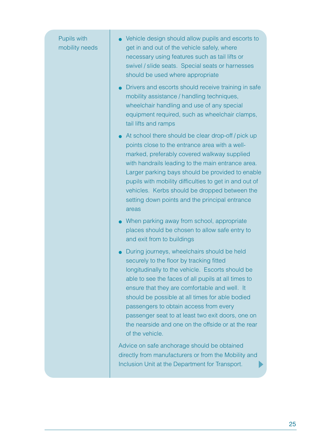| Pupils with<br>mobility needs | Vehicle design should allow pupils and escorts to<br>get in and out of the vehicle safely, where<br>necessary using features such as tail lifts or<br>swivel / slide seats. Special seats or harnesses<br>should be used where appropriate                                                                                                                                                                                                                                     |
|-------------------------------|--------------------------------------------------------------------------------------------------------------------------------------------------------------------------------------------------------------------------------------------------------------------------------------------------------------------------------------------------------------------------------------------------------------------------------------------------------------------------------|
|                               | Drivers and escorts should receive training in safe<br>mobility assistance / handling techniques,<br>wheelchair handling and use of any special<br>equipment required, such as wheelchair clamps,<br>tail lifts and ramps                                                                                                                                                                                                                                                      |
|                               | At school there should be clear drop-off / pick up<br>points close to the entrance area with a well-<br>marked, preferably covered walkway supplied<br>with handrails leading to the main entrance area.<br>Larger parking bays should be provided to enable<br>pupils with mobility difficulties to get in and out of<br>vehicles. Kerbs should be dropped between the<br>setting down points and the principal entrance<br>areas                                             |
|                               | When parking away from school, appropriate<br>places should be chosen to allow safe entry to<br>and exit from to buildings                                                                                                                                                                                                                                                                                                                                                     |
|                               | During journeys, wheelchairs should be held<br>securely to the floor by tracking fitted<br>longitudinally to the vehicle. Escorts should be<br>able to see the faces of all pupils at all times to<br>ensure that they are comfortable and well. It<br>should be possible at all times for able bodied<br>passengers to obtain access from every<br>passenger seat to at least two exit doors, one on<br>the nearside and one on the offside or at the rear<br>of the vehicle. |
|                               | Advice on safe anchorage should be obtained<br>directly from manufacturers or from the Mobility and<br>Inclusion Unit at the Department for Transport.                                                                                                                                                                                                                                                                                                                         |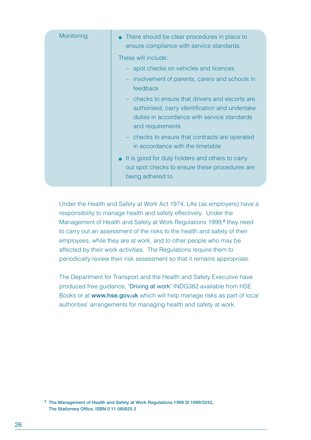| Monitoring | • There should be clear procedures in place to<br>ensure compliance with service standards.                                                                          |
|------------|----------------------------------------------------------------------------------------------------------------------------------------------------------------------|
|            | These will include:                                                                                                                                                  |
|            | - spot checks on vehicles and licences                                                                                                                               |
|            | involvement of parents, carers and schools in<br>feedback                                                                                                            |
|            | - checks to ensure that drivers and escorts are<br>authorised, carry identification and undertake<br>duties in accordance with service standards<br>and requirements |
|            | checks to ensure that contracts are operated<br>in accordance with the timetable                                                                                     |
|            | • It is good for duty holders and others to carry<br>out spot checks to ensure these procedures are<br>being adhered to.                                             |

Under the Health and Safety at Work Act 1974, LAs (as employers) have a responsibility to manage health and safety effectively. Under the Management of Health and Safety at Work Regulations 1999,**<sup>8</sup>** they need to carry out an assessment of the risks to the health and safety of their employees, while they are at work, and to other people who may be affected by their work activities. The Regulations require them to periodically review their risk assessment so that it remains appropriate.

The Department for Transport and the Health and Safety Executive have produced free guidance, 'Driving at work' INDG382 available from HSE Books or at **www.hse.gov.uk** which will help manage risks as part of local authorities' arrangements for managing health and safety at work.

**<sup>8</sup> The Management of Health and Safety at Work Regulations 1999 SI 1999/3242, The Stationery Office, ISBN 0 11 085625 2**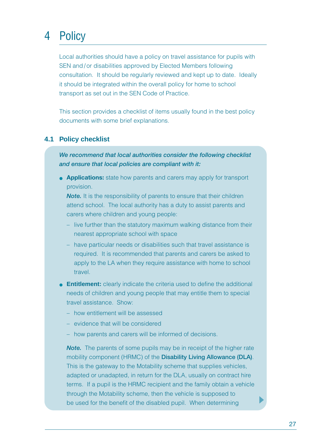# 4 Policy

Local authorities should have a policy on travel assistance for pupils with SEN and / or disabilities approved by Elected Members following consultation. It should be regularly reviewed and kept up to date. Ideally it should be integrated within the overall policy for home to school transport as set out in the SEN Code of Practice.

This section provides a checklist of items usually found in the best policy documents with some brief explanations.

#### **4.1 Policy checklist**

*We recommend that local authorities consider the following checklist and ensure that local policies are compliant with it:*

● **Applications:** state how parents and carers may apply for transport provision.

**Note.** It is the responsibility of parents to ensure that their children attend school. The local authority has a duty to assist parents and carers where children and young people:

- live further than the statutory maximum walking distance from their nearest appropriate school with space
- have particular needs or disabilities such that travel assistance is required. It is recommended that parents and carers be asked to apply to the LA when they require assistance with home to school travel.
- **Entitlement:** clearly indicate the criteria used to define the additional needs of children and young people that may entitle them to special travel assistance. Show:
	- how entitlement will be assessed
	- evidence that will be considered
	- how parents and carers will be informed of decisions.

*Note.* The parents of some pupils may be in receipt of the higher rate mobility component (HRMC) of the **Disability Living Allowance (DLA)**. This is the gateway to the Motability scheme that supplies vehicles, adapted or unadapted, in return for the DLA, usually on contract hire terms. If a pupil is the HRMC recipient and the family obtain a vehicle through the Motability scheme, then the vehicle is supposed to be used for the benefit of the disabled pupil. When determining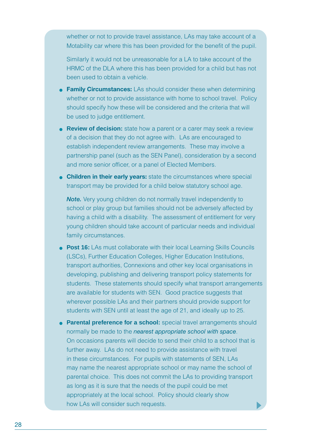whether or not to provide travel assistance, LAs may take account of a Motability car where this has been provided for the benefit of the pupil.

Similarly it would not be unreasonable for a LA to take account of the HRMC of the DLA where this has been provided for a child but has not been used to obtain a vehicle.

- **Family Circumstances:** LAs should consider these when determining whether or not to provide assistance with home to school travel. Policy should specify how these will be considered and the criteria that will be used to judge entitlement.
- **Review of decision:** state how a parent or a carer may seek a review of a decision that they do not agree with. LAs are encouraged to establish independent review arrangements. These may involve a partnership panel (such as the SEN Panel), consideration by a second and more senior officer, or a panel of Elected Members.
- **Children in their early years:** state the circumstances where special transport may be provided for a child below statutory school age.

*Note.* Very young children do not normally travel independently to school or play group but families should not be adversely affected by having a child with a disability. The assessment of entitlement for very young children should take account of particular needs and individual family circumstances.

- **Post 16:** LAs must collaborate with their local Learning Skills Councils (LSCs), Further Education Colleges, Higher Education Institutions, transport authorities, Connexions and other key local organisations in developing, publishing and delivering transport policy statements for students. These statements should specify what transport arrangements are available for students with SEN. Good practice suggests that wherever possible LAs and their partners should provide support for students with SEN until at least the age of 21, and ideally up to 25.
- **Parental preference for a school:** special travel arrangements should normally be made to the *nearest appropriate school with space*. On occasions parents will decide to send their child to a school that is further away. LAs do not need to provide assistance with travel in these circumstances. For pupils with statements of SEN, LAs may name the nearest appropriate school or may name the school of parental choice. This does not commit the LAs to providing transport as long as it is sure that the needs of the pupil could be met appropriately at the local school. Policy should clearly show how LAs will consider such requests.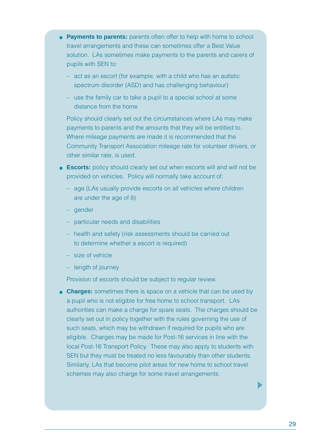- **Payments to parents:** parents often offer to help with home to school travel arrangements and these can sometimes offer a Best Value solution. LAs sometimes make payments to the parents and carers of pupils with SEN to:
	- act as an escort (for example, with a child who has an autistic spectrum disorder (ASD) and has challenging behaviour)
	- use the family car to take a pupil to a special school at some distance from the home

Policy should clearly set out the circumstances where LAs may make payments to parents and the amounts that they will be entitled to. Where mileage payments are made it is recommended that the Community Transport Association mileage rate for volunteer drivers, or other similar rate, is used.

- **Escorts:** policy should clearly set out when escorts will and will not be provided on vehicles. Policy will normally take account of:
	- age (LAs usually provide escorts on all vehicles where children are under the age of 8)
	- gender
	- particular needs and disabilities
	- health and safety (risk assessments should be carried out to determine whether a escort is required)
	- size of vehicle
	- length of journey

Provision of escorts should be subject to regular review.

**• Charges:** sometimes there is space on a vehicle that can be used by a pupil who is not eligible for free home to school transport. LAs authorities can make a charge for spare seats. The charges should be clearly set out in policy together with the rules governing the use of such seats, which may be withdrawn if required for pupils who are eligible. Charges may be made for Post-16 services in line with the local Post-16 Transport Policy. These may also apply to students with SEN but they must be treated no less favourably than other students. Similarly, LAs that become pilot areas for new home to school travel schemes may also charge for some travel arrangements.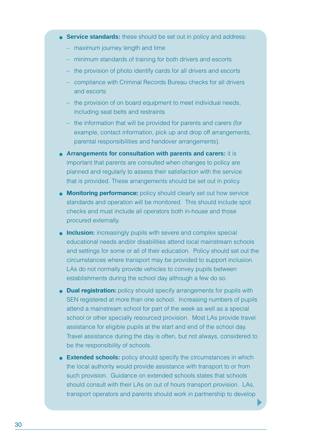- **Service standards:** these should be set out in policy and address:
	- maximum journey length and time
	- minimum standards of training for both drivers and escorts
	- the provision of photo identify cards for all drivers and escorts
	- compliance with Criminal Records Bureau checks for all drivers and escorts
	- the provision of on board equipment to meet individual needs, including seat belts and restraints
	- the information that will be provided for parents and carers (for example, contact information, pick up and drop off arrangements, parental responsibilities and handover arrangements).
- **Arrangements for consultation with parents and carers:** it is important that parents are consulted when changes to policy are planned and regularly to assess their satisfaction with the service that is provided. These arrangements should be set out in policy.
- **Monitoring performance:** policy should clearly set out how service standards and operation will be monitored. This should include spot checks and must include all operators both in-house and those procured externally.
- **.** Inclusion: increasingly pupils with severe and complex special educational needs and/or disabilities attend local mainstream schools and settings for some or all of their education. Policy should set out the circumstances where transport may be provided to support inclusion. LAs do not normally provide vehicles to convey pupils between establishments during the school day although a few do so.
- **Dual registration:** policy should specify arrangements for pupils with SEN registered at more than one school. Increasing numbers of pupils attend a mainstream school for part of the week as well as a special school or other specially resourced provision. Most LAs provide travel assistance for eligible pupils at the start and end of the school day. Travel assistance during the day is often, but not always, considered to be the responsibility of schools.
- **Extended schools:** policy should specify the circumstances in which the local authority would provide assistance with transport to or from such provision. Guidance on extended schools states that schools should consult with their LAs on out of hours transport provision. LAs, transport operators and parents should work in partnership to develop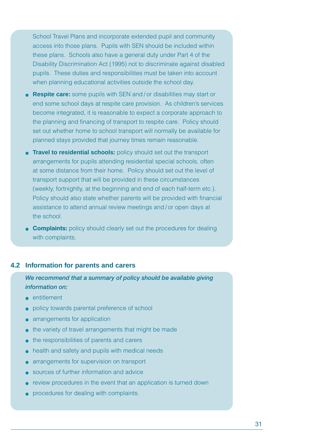School Travel Plans and incorporate extended pupil and community access into those plans. Pupils with SEN should be included within these plans. Schools also have a general duty under Part 4 of the Disability Discrimination Act (1995) not to discriminate against disabled pupils. These duties and responsibilities must be taken into account when planning educational activities outside the school day.

- **Respite care:** some pupils with SEN and / or disabilities may start or end some school days at respite care provision. As children's services become integrated, it is reasonable to expect a corporate approach to the planning and financing of transport to respite care. Policy should set out whether home to school transport will normally be available for planned stays provided that journey times remain reasonable.
- **Travel to residential schools:** policy should set out the transport arrangements for pupils attending residential special schools, often at some distance from their home. Policy should set out the level of transport support that will be provided in these circumstances (weekly, fortnightly, at the beginning and end of each half-term etc.). Policy should also state whether parents will be provided with financial assistance to attend annual review meetings and / or open days at the school.
- **Complaints:** policy should clearly set out the procedures for dealing with complaints.

#### **4.2 Information for parents and carers**

#### *We recommend that a summary of policy should be available giving information on:*

- entitlement
- policy towards parental preference of school
- arrangements for application
- the variety of travel arrangements that might be made
- the responsibilities of parents and carers
- health and safety and pupils with medical needs
- arrangements for supervision on transport
- sources of further information and advice
- review procedures in the event that an application is turned down
- procedures for dealing with complaints.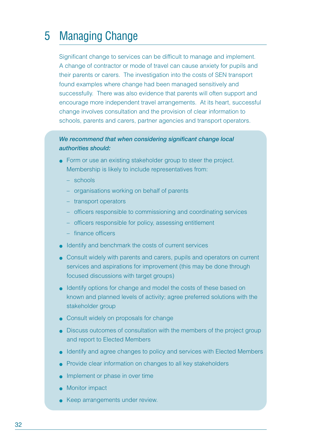### 5 Managing Change

Significant change to services can be difficult to manage and implement. A change of contractor or mode of travel can cause anxiety for pupils and their parents or carers. The investigation into the costs of SEN transport found examples where change had been managed sensitively and successfully. There was also evidence that parents will often support and encourage more independent travel arrangements. At its heart, successful change involves consultation and the provision of clear information to schools, parents and carers, partner agencies and transport operators.

#### *We recommend that when considering significant change local authorities should:*

- Form or use an existing stakeholder group to steer the project. Membership is likely to include representatives from:
	- schools
	- organisations working on behalf of parents
	- transport operators
	- officers responsible to commissioning and coordinating services
	- officers responsible for policy, assessing entitlement
	- finance officers
- Identify and benchmark the costs of current services
- Consult widely with parents and carers, pupils and operators on current services and aspirations for improvement (this may be done through focused discussions with target groups)
- Identify options for change and model the costs of these based on known and planned levels of activity; agree preferred solutions with the stakeholder group
- Consult widely on proposals for change
- Discuss outcomes of consultation with the members of the project group and report to Elected Members
- Identify and agree changes to policy and services with Elected Members
- Provide clear information on changes to all key stakeholders
- Implement or phase in over time
- Monitor impact
- Keep arrangements under review.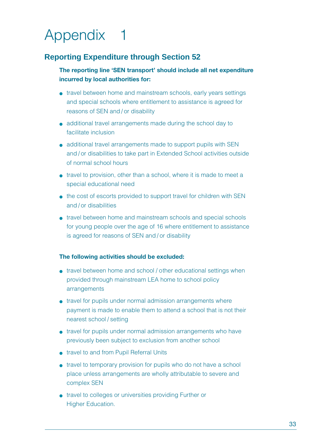# Appendix 1

### **Reporting Expenditure through Section 52**

#### **The reporting line 'SEN transport' should include all net expenditure incurred by local authorities for:**

- travel between home and mainstream schools, early years settings and special schools where entitlement to assistance is agreed for reasons of SEN and / or disability
- additional travel arrangements made during the school day to facilitate inclusion
- additional travel arrangements made to support pupils with SEN and / or disabilities to take part in Extended School activities outside of normal school hours
- travel to provision, other than a school, where it is made to meet a special educational need
- the cost of escorts provided to support travel for children with SEN and / or disabilities
- travel between home and mainstream schools and special schools for young people over the age of 16 where entitlement to assistance is agreed for reasons of SEN and / or disability

#### **The following activities should be excluded:**

- travel between home and school / other educational settings when provided through mainstream LEA home to school policy arrangements
- travel for pupils under normal admission arrangements where payment is made to enable them to attend a school that is not their nearest school / setting
- travel for pupils under normal admission arrangements who have previously been subject to exclusion from another school
- travel to and from Pupil Referral Units
- travel to temporary provision for pupils who do not have a school place unless arrangements are wholly attributable to severe and complex SEN
- travel to colleges or universities providing Further or Higher Education.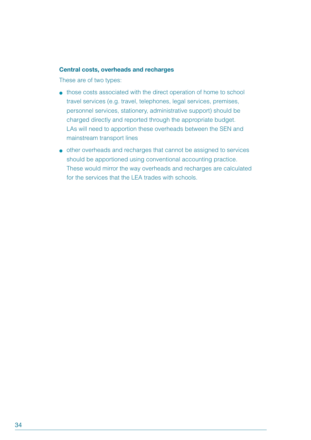#### **Central costs, overheads and recharges**

These are of two types:

- those costs associated with the direct operation of home to school travel services (e.g. travel, telephones, legal services, premises, personnel services, stationery, administrative support) should be charged directly and reported through the appropriate budget. LAs will need to apportion these overheads between the SEN and mainstream transport lines
- other overheads and recharges that cannot be assigned to services should be apportioned using conventional accounting practice. These would mirror the way overheads and recharges are calculated for the services that the LEA trades with schools.